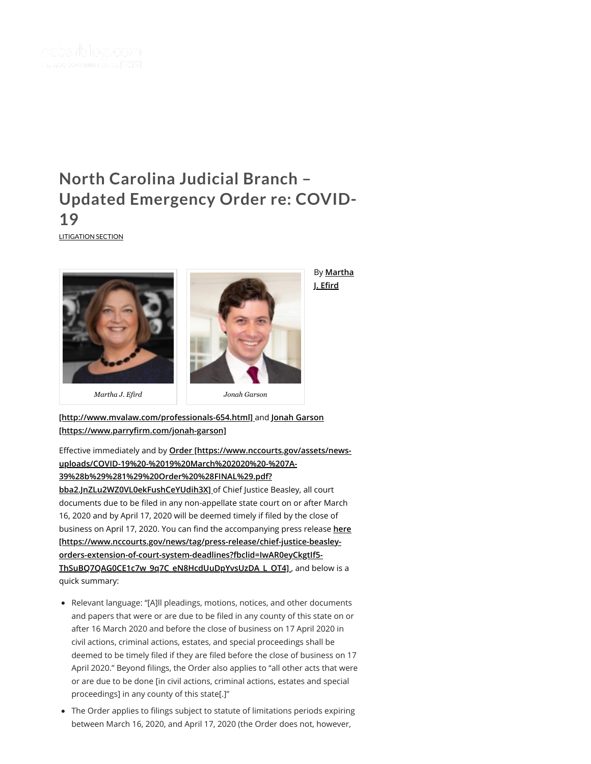

## **Updated [Emergency](https://ncbarblog.com/north-carolina-judicial-branch-updated-emergency-order-re-covid-19/) Order re: COVID-19**

[LITIGATION](https://ncbarblog.com/category/litigation-section/) SECTION





By **Martha J. Erd**

**[\[http://www.mvalaw.com/professionals-654.html\]](http://www.mvalaw.com/professionals-654.html)** and **Jonah Garson** [https://www.parryfirm.com/jonah-garson]

Effective immediately and by **Order [https://www.nccourts.gov/assets/news[uploads/COVID-19%20-%2019%20March%202020%20-%207A-](https://www.nccourts.gov/assets/news-uploads/COVID-19%20-%2019%20March%202020%20-%207A-39%28b%29%281%29%20Order%20%28FINAL%29.pdf?bba2.JnZLu2WZ0VL0ekFushCeYUdih3X)39%28b%29%281%29%20Order%20%28FINAL%29.pdf? bba2.JnZLu2WZ0VL0ekFushCeYUdih3X]** of Chief Justice Beasley, all court documents due to be filed in any non-appellate state court on or after March 16, 2020 and by April 17, 2020 will be deemed timely if filed by the close of business on April 17, 2020. You can find the accompanying press release here **[\[https://www.nccourts.gov/news/tag/press-release/chief-justice-beasley](https://www.nccourts.gov/news/tag/press-release/chief-justice-beasley-orders-extension-of-court-system-deadlines?fbclid=IwAR0eyCkgtIf5-ThSuBQ7QAG0CE1c7w_9q7C_eN8HcdUuDpYvsUzDA_L_OT4)orders-extension-of-court-system-deadlines?fbclid=IwAR0eyCkgtIf5- ThSuBQ7QAG0CE1c7w\_9q7C\_eN8HcdUuDpYvsUzDA\_L\_OT4]** , and below is a quick summary: **between March 16, 2020, and 2020** and between March 16, 2020, and April 17, 2020 (the Order does not, however, between March 16, 2020, and April 17, 2020 (the Order does not, however, the Order does not apply Apply 17, 20

- Relevant language: "[A]ll pleadings, motions, notices, and other documents and papers that were or are due to be filed in any county of this state on or after 16 March 2020 and before the close of business on 17 April 2020 in civil actions, criminal actions, estates, and special proceedings shall be deemed to be timely filed if they are filed before the close of business on 17 April 2020." Beyond filings, the Order also applies to "all other acts that were or are due to be done [in civil actions, criminal actions, estates and special proceedings] in any county of this state[.]"
- The Order applies to filings subject to statute of limitations periods expiring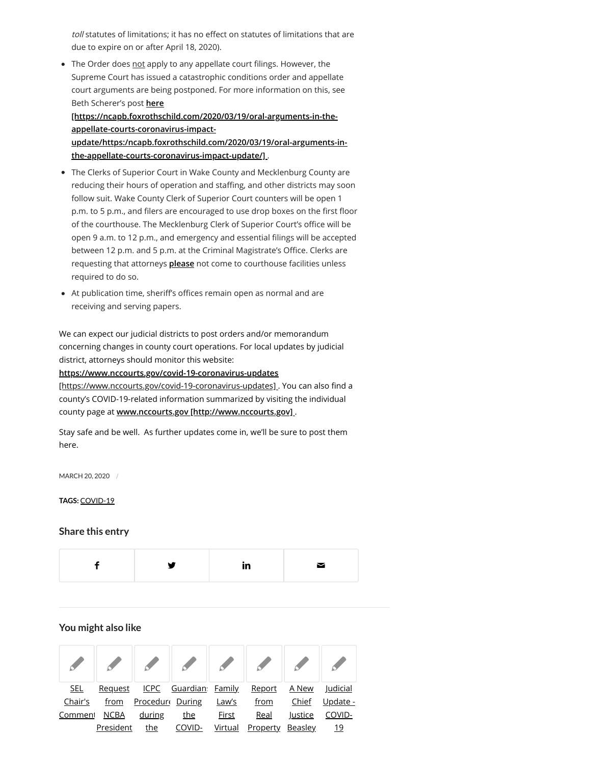toll statutes of limitations; it has no effect on statutes of limitations that are due to expire on or after April 18, 2020).

• The Order does not apply to any appellate court filings. However, the Supreme Court has issued a catastrophic conditions order and appellate court arguments are being postponed. For more information on this, see Beth Scherer's post **here**

**[https://ncapb.foxrothschild.com/2020/03/19/oral-arguments-in-theappellate-courts-coronavirus-impact-**

**[update/https:/ncapb.foxrothschild.com/2020/03/19/oral-arguments-in](https://ncapb.foxrothschild.com/2020/03/19/oral-arguments-in-the-appellate-courts-coronavirus-impact-update/https:/ncapb.foxrothschild.com/2020/03/19/oral-arguments-in-the-appellate-courts-coronavirus-impact-update/)the-appellate-courts-coronavirus-impact-update/]** .

- The Clerks of Superior Court in Wake County and Mecklenburg County are reducing their hours of operation and staffing, and other districts may soon follow suit. Wake County Clerk of Superior Court counters will be open 1 p.m. to 5 p.m., and filers are encouraged to use drop boxes on the first floor of the courthouse. The Mecklenburg Clerk of Superior Court's office will be open 9 a.m. to 12 p.m., and emergency and essential filings will be accepted between 12 p.m. and 5 p.m. at the Criminal Magistrate's Office. Clerks are requesting that attorneys **please** not come to courthouse facilities unless required to do so.
- At publication time, sheriff's offices remain open as normal and are receiving and serving papers.

We can expect our judicial districts to post orders and/or memorandum concerning changes in county court operations. For local updates by judicial district, attorneys should monitor this website:

**https://www.nccourts.gov/covid-19-coronavirus-updates**

[https://www.nccourts.gov/covid-19-coronavirus-updates]. You can also find a county's COVID-19-related information summarized by visiting the individual county page at **[www.nccourts.gov \[http://www.nccourts.gov\]](http://www.nccourts.gov/)** .

Stay safe and be well. As further updates come in, we'll be sure to post them here.

MARCH 20, 2020 /

**TAGS:** [COVID-19](https://ncbarblog.com/tag/covid-19/)

## **Share this entry**



## **You might also like**